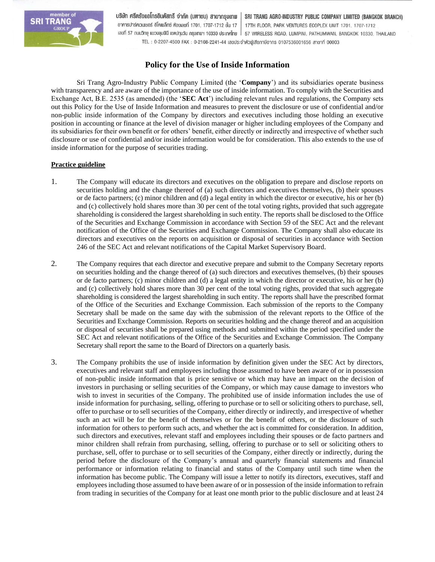

บริษัท ศรีตรังแอโกรอินดัสทรี จำกัด (มหาชน) สาขากรุงเทพ SRI TRANG AGRO-INDUSTRY PUBLIC COMPANY LIMITED (BANGKOK BRANCH) อาคารปาร์คเวนเชอร์ อีโคเพล็กซ์ ห้องเลขที่ 1701, 1707-1712 ชั้น 17 17TH FLOOR, PARK VENTURES ECOPLEX UNIT 1701, 1707-1712 เลขที่ 57 กนนวิทยุ แขวงลุมพินี เขตปทุมวัน กรุงเทพฯ 10330 ประเทศไทย | 57 WIRELESS ROAD, LUMPINI, PATHUMWAN, BANGKOK 10330, THAILAND TEL: 0-2207-4500 FAX: 0-2108-2241-44 เลขประจำตัวพู้เสียกาษีอากร 0107536001656 สาขาที่ 00003

## **Policy for the Use of Inside Information**

Sri Trang Agro-Industry Public Company Limited (the '**Company**') and its subsidiaries operate business with transparency and are aware of the importance of the use of inside information. To comply with the Securities and Exchange Act, B.E. 2535 (as amended) (the '**SEC Act**') including relevant rules and regulations, the Company sets out this Policy for the Use of Inside Information and measures to prevent the disclosure or use of confidential and/or non-public inside information of the Company by directors and executives including those holding an executive position in accounting or finance at the level of division manager or higher including employees of the Company and its subsidiaries for their own benefit or for others' benefit, either directly or indirectly and irrespective of whether such disclosure or use of confidential and/or inside information would be for consideration. This also extends to the use of inside information for the purpose of securities trading.

## **Practice guideline**

- 1. The Company will educate its directors and executives on the obligation to prepare and disclose reports on securities holding and the change thereof of (a) such directors and executives themselves, (b) their spouses or de facto partners; (c) minor children and (d) a legal entity in which the director or executive, his or her (b) and (c) collectively hold shares more than 30 per cent of the total voting rights, provided that such aggregate shareholding is considered the largest shareholding in such entity. The reports shall be disclosed to the Office of the Securities and Exchange Commission in accordance with Section 59 of the SEC Act and the relevant notification of the Office of the Securities and Exchange Commission. The Company shall also educate its directors and executives on the reports on acquisition or disposal of securities in accordance with Section 246 of the SEC Act and relevant notifications of the Capital Market Supervisory Board.
- 2. The Company requires that each director and executive prepare and submit to the Company Secretary reports on securities holding and the change thereof of (a) such directors and executives themselves, (b) their spouses or de facto partners; (c) minor children and (d) a legal entity in which the director or executive, his or her (b) and (c) collectively hold shares more than 30 per cent of the total voting rights, provided that such aggregate shareholding is considered the largest shareholding in such entity. The reports shall have the prescribed format of the Office of the Securities and Exchange Commission. Each submission of the reports to the Company Secretary shall be made on the same day with the submission of the relevant reports to the Office of the Securities and Exchange Commission. Reports on securities holding and the change thereof and an acquisition or disposal of securities shall be prepared using methods and submitted within the period specified under the SEC Act and relevant notifications of the Office of the Securities and Exchange Commission. The Company Secretary shall report the same to the Board of Directors on a quarterly basis.
- 3. The Company prohibits the use of inside information by definition given under the SEC Act by directors, executives and relevant staff and employees including those assumed to have been aware of or in possession of non-public inside information that is price sensitive or which may have an impact on the decision of investors in purchasing or selling securities of the Company, or which may cause damage to investors who wish to invest in securities of the Company. The prohibited use of inside information includes the use of inside information for purchasing, selling, offering to purchase or to sell or soliciting others to purchase, sell, offer to purchase or to sell securities of the Company, either directly or indirectly, and irrespective of whether such an act will be for the benefit of themselves or for the benefit of others, or the disclosure of such information for others to perform such acts, and whether the act is committed for consideration. In addition, such directors and executives, relevant staff and employees including their spouses or de facto partners and minor children shall refrain from purchasing, selling, offering to purchase or to sell or soliciting others to purchase, sell, offer to purchase or to sell securities of the Company, either directly or indirectly, during the period before the disclosure of the Company's annual and quarterly financial statements and financial performance or information relating to financial and status of the Company until such time when the information has become public. The Company will issue a letter to notify its directors, executives, staff and employees including those assumed to have been aware of or in possession of the inside information to refrain from trading in securities of the Company for at least one month prior to the public disclosure and at least 24